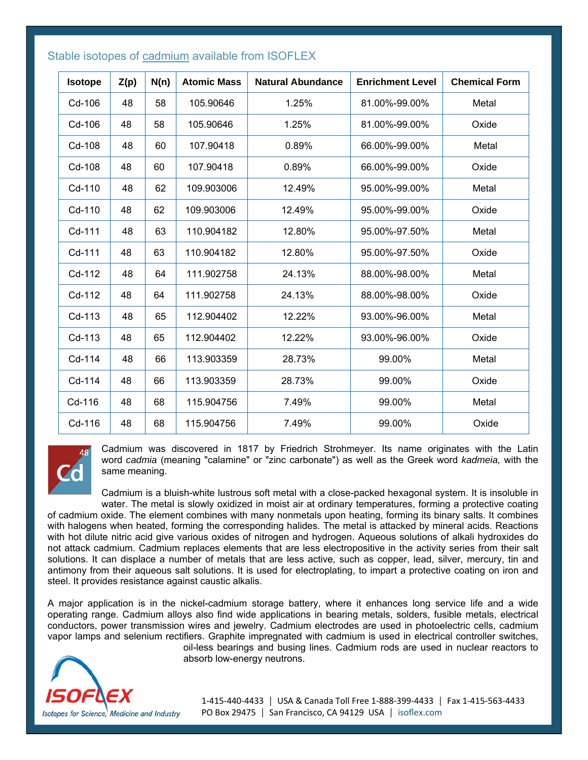| <b>Isotope</b> | Z(p) | N(n) | <b>Atomic Mass</b> | <b>Natural Abundance</b> | <b>Enrichment Level</b> | <b>Chemical Form</b> |
|----------------|------|------|--------------------|--------------------------|-------------------------|----------------------|
| Cd-106         | 48   | 58   | 105.90646          | 1.25%                    | 81.00%-99.00%           | Metal                |
| Cd-106         | 48   | 58   | 105.90646          | 1.25%                    | 81.00%-99.00%           | Oxide                |
| Cd-108         | 48   | 60   | 107.90418          | 0.89%                    | 66.00%-99.00%           | Metal                |
| Cd-108         | 48   | 60   | 107.90418          | 0.89%                    | 66.00%-99.00%           | Oxide                |
| Cd-110         | 48   | 62   | 109.903006         | 12.49%                   | 95.00%-99.00%           | Metal                |
| Cd-110         | 48   | 62   | 109.903006         | 12.49%                   | 95.00%-99.00%           | Oxide                |
| Cd-111         | 48   | 63   | 110.904182         | 12.80%                   | 95.00%-97.50%           | Metal                |
| Cd-111         | 48   | 63   | 110.904182         | 12.80%                   | 95.00%-97.50%           | Oxide                |
| Cd-112         | 48   | 64   | 111.902758         | 24.13%                   | 88.00%-98.00%           | Metal                |
| Cd-112         | 48   | 64   | 111.902758         | 24.13%                   | 88.00%-98.00%           | Oxide                |
| Cd-113         | 48   | 65   | 112.904402         | 12.22%                   | 93.00%-96.00%           | Metal                |
| Cd-113         | 48   | 65   | 112.904402         | 12.22%                   | 93.00%-96.00%           | Oxide                |
| Cd-114         | 48   | 66   | 113.903359         | 28.73%                   | 99.00%                  | Metal                |
| Cd-114         | 48   | 66   | 113.903359         | 28.73%                   | 99.00%                  | Oxide                |
| Cd-116         | 48   | 68   | 115.904756         | 7.49%                    | 99.00%                  | Metal                |
| Cd-116         | 48   | 68   | 115.904756         | 7.49%                    | 99.00%                  | Oxide                |

## Stable isotopes of cadmium available from ISOFLEX



Cadmium was discovered in 1817 by Friedrich Strohmeyer. Its name originates with the Latin word *cadmia* (meaning "calamine" or "zinc carbonate") as well as the Greek word *kadmeia,* with the same meaning.

Cadmium is a bluish-white lustrous soft metal with a close-packed hexagonal system. It is insoluble in water. The metal is slowly oxidized in moist air at ordinary temperatures, forming a protective coating

of cadmium oxide. The element combines with many nonmetals upon heating, forming its binary salts. It combines with halogens when heated, forming the corresponding halides. The metal is attacked by mineral acids. Reactions with hot dilute nitric acid give various oxides of nitrogen and hydrogen. Aqueous solutions of alkali hydroxides do not attack cadmium. Cadmium replaces elements that are less electropositive in the activity series from their salt solutions. It can displace a number of metals that are less active, such as copper, lead, silver, mercury, tin and antimony from their aqueous salt solutions. It is used for electroplating, to impart a protective coating on iron and steel. It provides resistance against caustic alkalis.

A major application is in the nickel-cadmium storage battery, where it enhances long service life and a wide operating range. Cadmium alloys also find wide applications in bearing metals, solders, fusible metals, electrical conductors, power transmission wires and jewelry. Cadmium electrodes are used in photoelectric cells, cadmium vapor lamps and selenium rectifiers. Graphite impregnated with cadmium is used in electrical controller switches,



oil-less bearings and busing lines. Cadmium rods are used in nuclear reactors to absorb low-energy neutrons.

1‐415‐440‐4433 │ USA & Canada Toll Free 1‐888‐399‐4433 │ Fax 1‐415‐563‐4433 PO Box 29475 | San Francisco, CA 94129 USA | isoflex.com